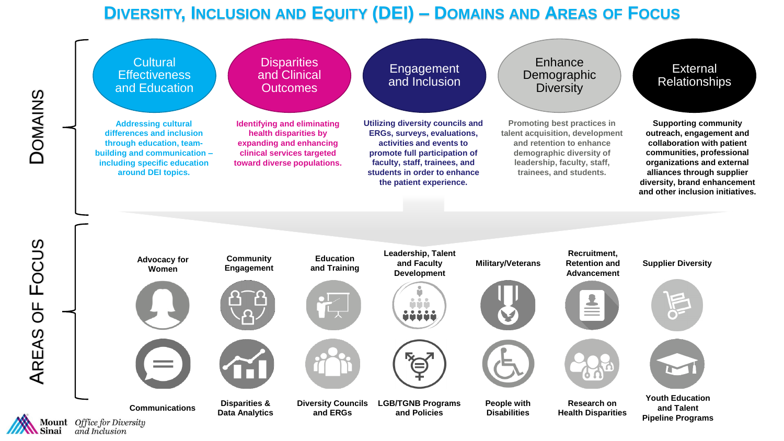# **DIVERSITY, INCLUSION AND EQUITY (DEI) – DOMAINS AND AREAS OF FOCUS**

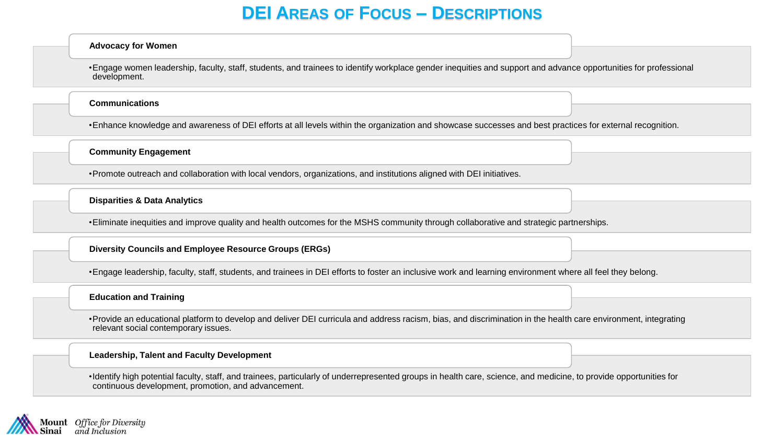## **DEI AREAS OF FOCUS – DESCRIPTIONS**

#### **Advocacy for Women**

•Engage women leadership, faculty, staff, students, and trainees to identify workplace gender inequities and support and advance opportunities for professional development.

#### **Communications**

•Enhance knowledge and awareness of DEI efforts at all levels within the organization and showcase successes and best practices for external recognition.

**Community Engagement**

•Promote outreach and collaboration with local vendors, organizations, and institutions aligned with DEI initiatives.

**Disparities & Data Analytics**

•Eliminate inequities and improve quality and health outcomes for the MSHS community through collaborative and strategic partnerships.

### **Diversity Councils and Employee Resource Groups (ERGs)**

•Engage leadership, faculty, staff, students, and trainees in DEI efforts to foster an inclusive work and learning environment where all feel they belong.

### **Education and Training**

•Provide an educational platform to develop and deliver DEI curricula and address racism, bias, and discrimination in the health care environment, integrating relevant social contemporary issues.

### **Leadership, Talent and Faculty Development**

•Identify high potential faculty, staff, and trainees, particularly of underrepresented groups in health care, science, and medicine, to provide opportunities for continuous development, promotion, and advancement.